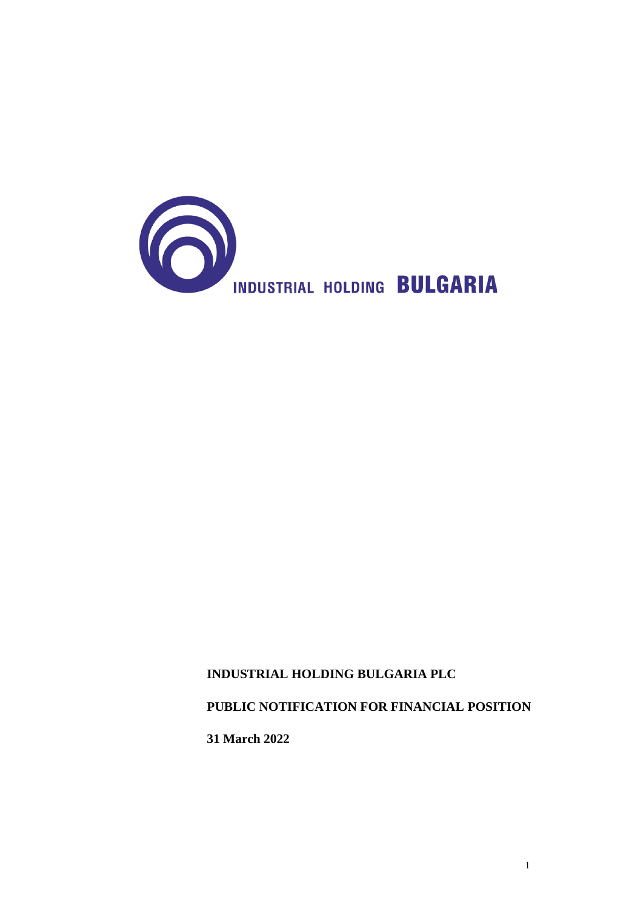

## **INDUSTRIAL HOLDING BULGARIA PLC**

## **PUBLIC NOTIFICATION FOR FINANCIAL POSITION**

**31 March 2022**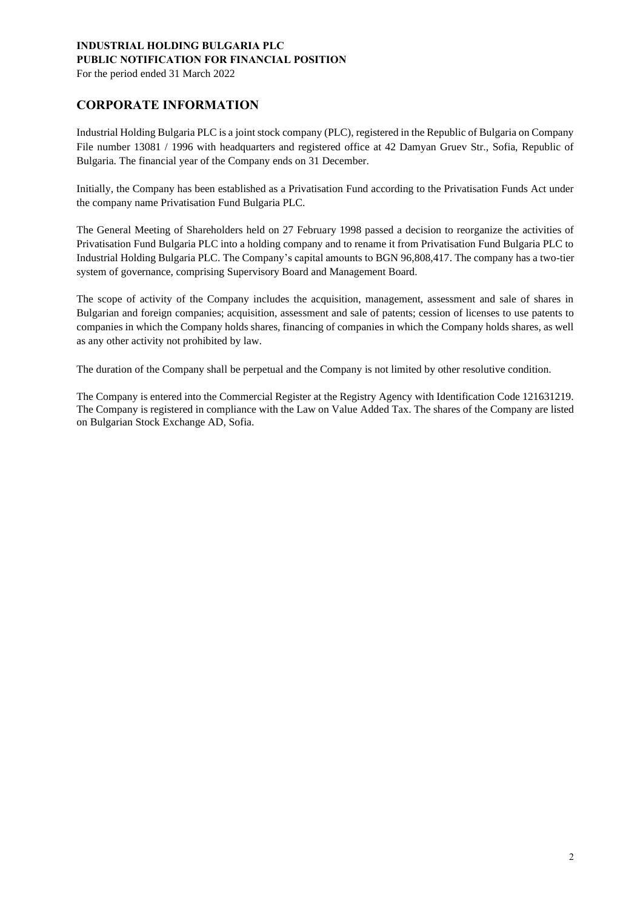For the period ended 31 March 2022

### **CORPORATE INFORMATION**

Industrial Holding Bulgaria PLC is a joint stock company (PLC), registered in the Republic of Bulgaria on Company File number 13081 / 1996 with headquarters and registered office at 42 Damyan Gruev Str., Sofia, Republic of Bulgaria. The financial year of the Company ends on 31 December.

Initially, the Company has been established as a Privatisation Fund according to the Privatisation Funds Act under the company name Privatisation Fund Bulgaria PLC.

The General Meeting of Shareholders held on 27 February 1998 passed a decision to reorganize the activities of Privatisation Fund Bulgaria PLC into a holding company and to rename it from Privatisation Fund Bulgaria PLC to Industrial Holding Bulgaria PLC. The Company's capital amounts to BGN 96,808,417. The company has a two-tier system of governance, comprising Supervisory Board and Management Board.

The scope of activity of the Company includes the acquisition, management, assessment and sale of shares in Bulgarian and foreign companies; acquisition, assessment and sale of patents; cession of licenses to use patents to companies in which the Company holds shares, financing of companies in which the Company holds shares, as well as any other activity not prohibited by law.

The duration of the Company shall be perpetual and the Company is not limited by other resolutive condition.

The Company is entered into the Commercial Register at the Registry Agency with Identification Code 121631219. The Company is registered in compliance with the Law on Value Added Tax. The shares of the Company are listed on Bulgarian Stock Exchange AD, Sofia.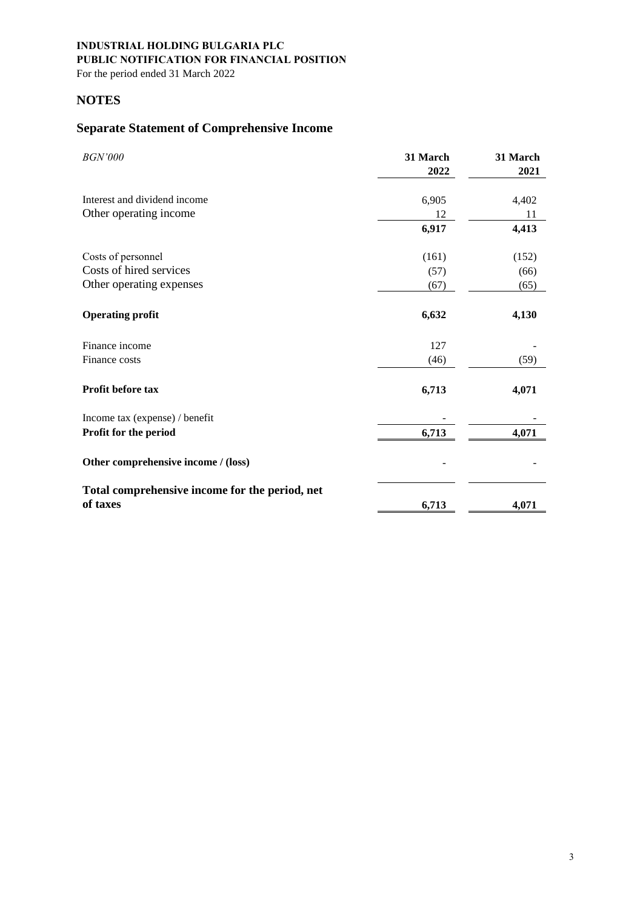For the period ended 31 March 2022

### **NOTES**

# **Separate Statement of Comprehensive Income**

| <b>BGN'000</b>                                             | 31 March<br>2022 | 31 March<br>2021 |
|------------------------------------------------------------|------------------|------------------|
| Interest and dividend income                               | 6,905            | 4,402            |
| Other operating income                                     | 12               | 11               |
|                                                            | 6,917            | 4,413            |
| Costs of personnel                                         | (161)            | (152)            |
| Costs of hired services                                    | (57)             | (66)             |
| Other operating expenses                                   | (67)             | (65)             |
| <b>Operating profit</b>                                    | 6,632            | 4,130            |
| Finance income                                             | 127              |                  |
| Finance costs                                              | (46)             | (59)             |
| Profit before tax                                          | 6,713            | 4,071            |
| Income tax (expense) / benefit                             |                  |                  |
| Profit for the period                                      | 6,713            | 4,071            |
| Other comprehensive income / (loss)                        |                  |                  |
| Total comprehensive income for the period, net<br>of taxes | 6,713            | 4,071            |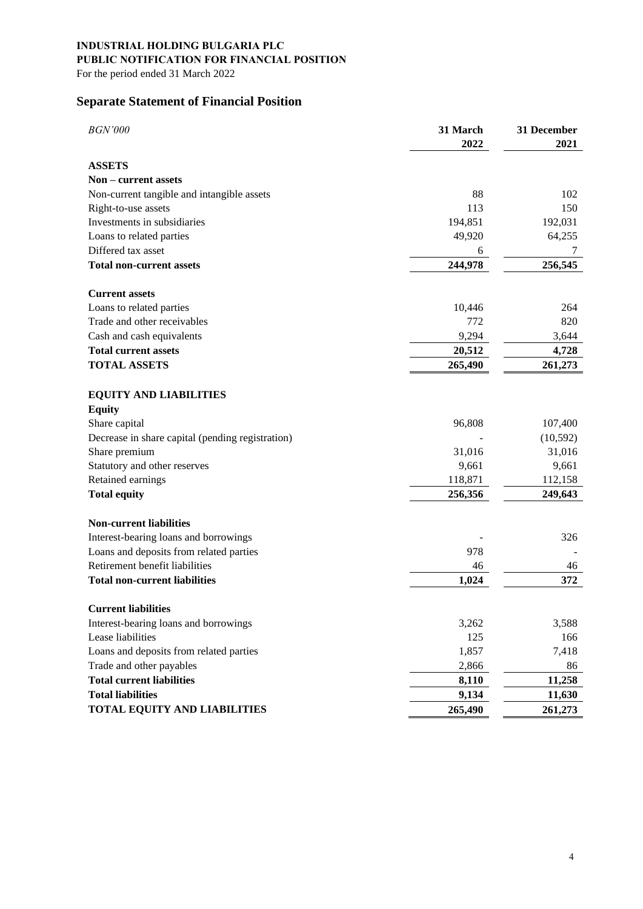# **INDUSTRIAL HOLDING BULGARIA PLC**

**PUBLIC NOTIFICATION FOR FINANCIAL POSITION** 

For the period ended 31 March 2022

## **Separate Statement of Financial Position**

| <b>BGN'000</b>                                   | 31 March<br>2022 | 31 December<br>2021 |
|--------------------------------------------------|------------------|---------------------|
| <b>ASSETS</b>                                    |                  |                     |
| Non – current assets                             |                  |                     |
| Non-current tangible and intangible assets       | 88               | 102                 |
| Right-to-use assets                              | 113              | 150                 |
| Investments in subsidiaries                      | 194,851          | 192,031             |
| Loans to related parties                         | 49,920           | 64,255              |
| Differed tax asset                               | 6                | 7                   |
| <b>Total non-current assets</b>                  | 244,978          | 256,545             |
| <b>Current assets</b>                            |                  |                     |
| Loans to related parties                         | 10,446           | 264                 |
| Trade and other receivables                      | 772              | 820                 |
| Cash and cash equivalents                        | 9,294            | 3,644               |
| <b>Total current assets</b>                      | 20,512           | 4,728               |
| <b>TOTAL ASSETS</b>                              | 265,490          | 261,273             |
| <b>EQUITY AND LIABILITIES</b>                    |                  |                     |
| <b>Equity</b>                                    |                  |                     |
| Share capital                                    | 96,808           | 107,400             |
| Decrease in share capital (pending registration) |                  | (10, 592)           |
| Share premium                                    | 31,016           | 31,016              |
| Statutory and other reserves                     | 9,661            | 9,661               |
| Retained earnings                                | 118,871          | 112,158             |
| <b>Total equity</b>                              | 256,356          | 249,643             |
| <b>Non-current liabilities</b>                   |                  |                     |
| Interest-bearing loans and borrowings            |                  | 326                 |
| Loans and deposits from related parties          | 978              |                     |
| Retirement benefit liabilities                   | 46               | 46                  |
| <b>Total non-current liabilities</b>             | 1,024            | 372                 |
| <b>Current liabilities</b>                       |                  |                     |
| Interest-bearing loans and borrowings            | 3,262            | 3,588               |
| Lease liabilities                                | 125              | 166                 |
| Loans and deposits from related parties          | 1,857            | 7,418               |
| Trade and other payables                         | 2,866            | 86                  |
| <b>Total current liabilities</b>                 | 8,110            | 11,258              |
| <b>Total liabilities</b>                         | 9,134            | 11,630              |
| TOTAL EQUITY AND LIABILITIES                     | 265,490          | 261,273             |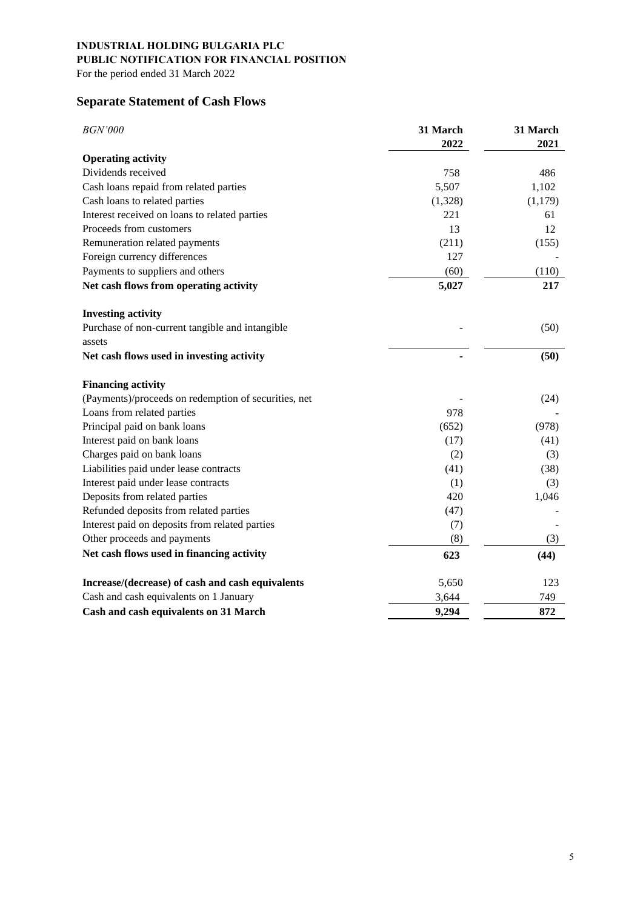For the period ended 31 March 2022

## **Separate Statement of Cash Flows**

| <b>BGN'000</b>                                       | 31 March<br>2022 | 31 March<br>2021 |
|------------------------------------------------------|------------------|------------------|
| <b>Operating activity</b>                            |                  |                  |
| Dividends received                                   | 758              | 486              |
| Cash loans repaid from related parties               | 5,507            | 1,102            |
| Cash loans to related parties                        | (1,328)          | (1,179)          |
| Interest received on loans to related parties        | 221              | 61               |
| Proceeds from customers                              | 13               | 12               |
| Remuneration related payments                        | (211)            | (155)            |
| Foreign currency differences                         | 127              |                  |
| Payments to suppliers and others                     | (60)             | (110)            |
| Net cash flows from operating activity               | 5,027            | 217              |
| <b>Investing activity</b>                            |                  |                  |
| Purchase of non-current tangible and intangible      |                  | (50)             |
| assets                                               |                  |                  |
| Net cash flows used in investing activity            |                  | (50)             |
| <b>Financing activity</b>                            |                  |                  |
| (Payments)/proceeds on redemption of securities, net |                  | (24)             |
| Loans from related parties                           | 978              |                  |
| Principal paid on bank loans                         | (652)            | (978)            |
| Interest paid on bank loans                          | (17)             | (41)             |
| Charges paid on bank loans                           | (2)              | (3)              |
| Liabilities paid under lease contracts               | (41)             | (38)             |
| Interest paid under lease contracts                  | (1)              | (3)              |
| Deposits from related parties                        | 420              | 1,046            |
| Refunded deposits from related parties               | (47)             |                  |
| Interest paid on deposits from related parties       | (7)              |                  |
| Other proceeds and payments                          | (8)              | (3)              |
| Net cash flows used in financing activity            | 623              | (44)             |
| Increase/(decrease) of cash and cash equivalents     | 5,650            | 123              |
| Cash and cash equivalents on 1 January               | 3,644            | 749              |
| Cash and cash equivalents on 31 March                | 9,294            | 872              |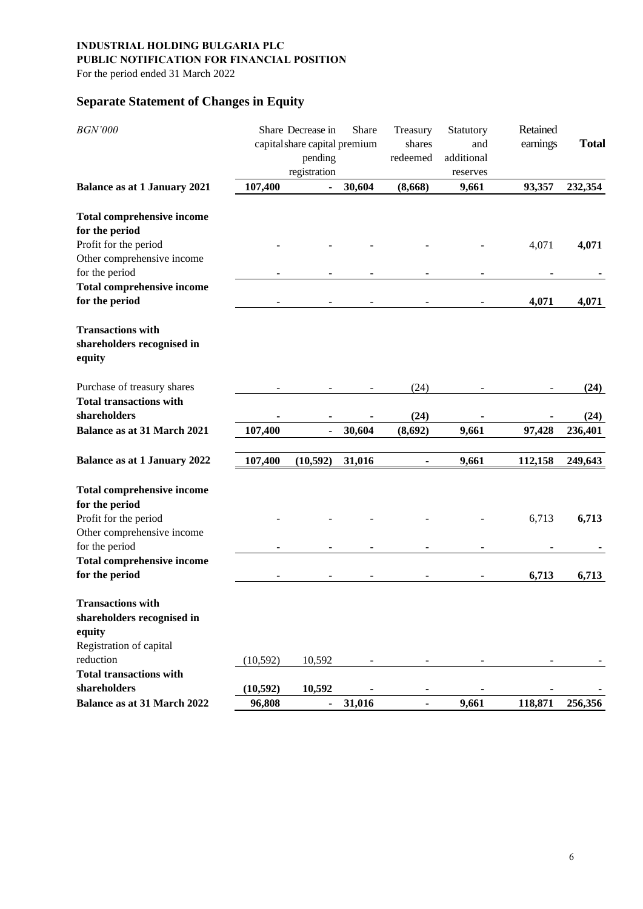## **INDUSTRIAL HOLDING BULGARIA PLC**

## **PUBLIC NOTIFICATION FOR FINANCIAL POSITION**

For the period ended 31 March 2022

## **Separate Statement of Changes in Equity**

| <b>BGN'000</b>                                                                              |           | Share Decrease in<br>capital share capital premium<br>pending<br>registration | Share  | Treasury<br>shares<br>redeemed | Statutory<br>and<br>additional<br>reserves | Retained<br>earnings | <b>Total</b> |
|---------------------------------------------------------------------------------------------|-----------|-------------------------------------------------------------------------------|--------|--------------------------------|--------------------------------------------|----------------------|--------------|
| <b>Balance as at 1 January 2021</b>                                                         | 107,400   |                                                                               | 30,604 | (8,668)                        | 9,661                                      | 93,357               | 232,354      |
| <b>Total comprehensive income</b><br>for the period                                         |           |                                                                               |        |                                |                                            |                      |              |
| Profit for the period<br>Other comprehensive income                                         |           |                                                                               |        |                                |                                            | 4,071                | 4,071        |
| for the period                                                                              |           |                                                                               |        |                                |                                            |                      |              |
| <b>Total comprehensive income</b><br>for the period                                         |           |                                                                               |        |                                |                                            | 4,071                | 4,071        |
| <b>Transactions with</b><br>shareholders recognised in<br>equity                            |           |                                                                               |        |                                |                                            |                      |              |
| Purchase of treasury shares                                                                 |           |                                                                               |        | (24)                           |                                            |                      | (24)         |
| <b>Total transactions with</b><br>shareholders                                              |           |                                                                               |        | (24)                           |                                            |                      | (24)         |
| <b>Balance as at 31 March 2021</b>                                                          | 107,400   |                                                                               | 30,604 | (8,692)                        | 9,661                                      | 97,428               | 236,401      |
| <b>Balance as at 1 January 2022</b>                                                         | 107,400   | (10, 592)                                                                     | 31,016 | $\blacksquare$                 | 9,661                                      | 112,158              | 249,643      |
| <b>Total comprehensive income</b><br>for the period                                         |           |                                                                               |        |                                |                                            |                      |              |
| Profit for the period<br>Other comprehensive income                                         |           |                                                                               |        |                                |                                            | 6,713                | 6,713        |
| for the period                                                                              |           |                                                                               |        |                                |                                            |                      |              |
| <b>Total comprehensive income</b><br>for the period                                         |           |                                                                               |        | -                              |                                            | 6,713                | 6,713        |
| <b>Transactions with</b><br>shareholders recognised in<br>equity<br>Registration of capital |           |                                                                               |        |                                |                                            |                      |              |
| reduction                                                                                   | (10, 592) | 10,592                                                                        |        |                                |                                            |                      |              |
| <b>Total transactions with</b>                                                              |           |                                                                               |        |                                |                                            |                      |              |
| shareholders                                                                                | (10, 592) | 10,592                                                                        |        |                                |                                            |                      |              |
| Balance as at 31 March 2022                                                                 | 96,808    | $\blacksquare$                                                                | 31,016 |                                | 9,661                                      | 118,871              | 256,356      |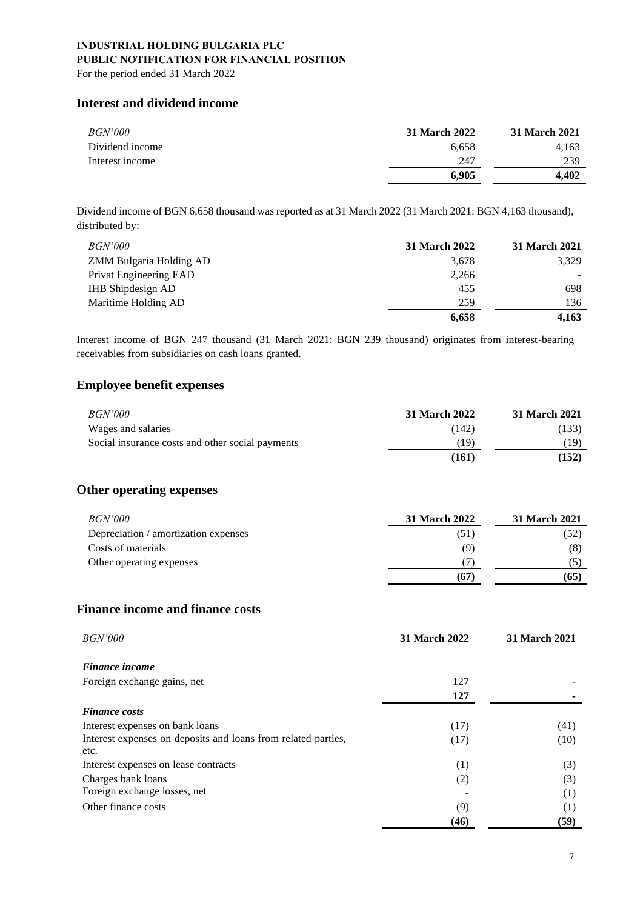For the period ended 31 March 2022

### **Interest and dividend income**

| <i>BGN'000</i>  | 31 March 2022 | <b>31 March 2021</b> |
|-----------------|---------------|----------------------|
| Dividend income | 6.658         | 4.163                |
| Interest income | 247           | 239                  |
|                 | 6.905         | 4.402                |

Dividend income of BGN 6,658 thousand was reported as at 31 March 2022 (31 March 2021: BGN 4,163 thousand), distributed by:

| <i>BGN'000</i>           | <b>31 March 2022</b> | 31 March 2021 |
|--------------------------|----------------------|---------------|
| ZMM Bulgaria Holding AD  | 3,678                | 3,329         |
| Privat Engineering EAD   | 2,266                |               |
| <b>IHB</b> Shipdesign AD | 455                  | 698           |
| Maritime Holding AD      | 259                  | 136           |
|                          | 6,658                | 4.163         |

Interest income of BGN 247 thousand (31 March 2021: BGN 239 thousand) originates from interest-bearing receivables from subsidiaries on cash loans granted.

### **Employee benefit expenses**

| <i>BGN'000</i>                                   | <b>31 March 2022</b> | 31 March 2021 |
|--------------------------------------------------|----------------------|---------------|
| Wages and salaries                               | (142)                | (133)         |
| Social insurance costs and other social payments | (19                  | 19)           |
|                                                  | (161)                | (152)         |

### **Other operating expenses**

| <i>BGN'000</i>                       | 31 March 2022 | 31 March 2021 |
|--------------------------------------|---------------|---------------|
| Depreciation / amortization expenses | (51)          | (52)          |
| Costs of materials                   | (9)           | (8)           |
| Other operating expenses             |               |               |
|                                      | (67)          | (65)          |

### **Finance income and finance costs**

| <i>BGN'000</i>                                                        | <b>31 March 2022</b> | <b>31 March 2021</b> |
|-----------------------------------------------------------------------|----------------------|----------------------|
| <b>Finance</b> income                                                 |                      |                      |
| Foreign exchange gains, net                                           | 127                  |                      |
|                                                                       | 127                  |                      |
| <b>Finance costs</b>                                                  |                      |                      |
| Interest expenses on bank loans                                       | (17)                 | (41)                 |
| Interest expenses on deposits and loans from related parties,<br>etc. | (17)                 | (10)                 |
| Interest expenses on lease contracts                                  |                      | (3)                  |
| Charges bank loans                                                    | (1)<br>(2)           | (3)                  |
| Foreign exchange losses, net                                          |                      | (1)                  |
| Other finance costs                                                   | (9)                  | (1)                  |
|                                                                       | (46)                 | (59)                 |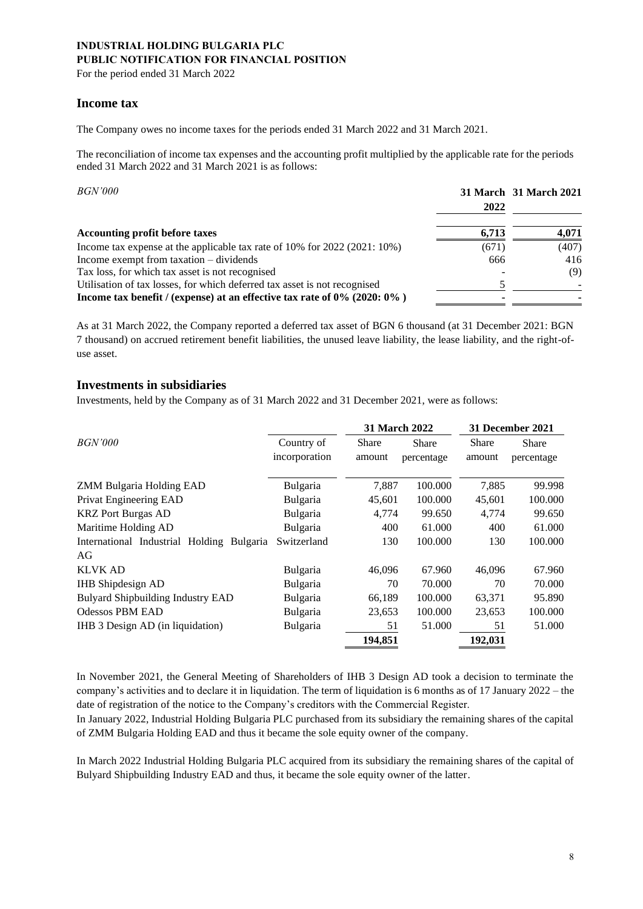For the period ended 31 March 2022

### **Income tax**

The Company owes no income taxes for the periods ended 31 March 2022 and 31 March 2021.

The reconciliation of income tax expenses and the accounting profit multiplied by the applicable rate for the periods ended 31 March 2022 and 31 March 2021 is as follows:

| <i>BGN'000</i>                                                                  | 2022  | 31 March 31 March 2021 |
|---------------------------------------------------------------------------------|-------|------------------------|
| <b>Accounting profit before taxes</b>                                           | 6.713 | 4,071                  |
| Income tax expense at the applicable tax rate of 10% for 2022 (2021: 10%)       | (671) | (407)                  |
| Income exempt from taxation – dividends                                         | 666   | 416                    |
| Tax loss, for which tax asset is not recognised                                 |       | (9)                    |
| Utilisation of tax losses, for which deferred tax asset is not recognised       |       |                        |
| Income tax benefit / (expense) at an effective tax rate of $0\%$ (2020: $0\%$ ) |       |                        |

As at 31 March 2022, the Company reported a deferred tax asset of BGN 6 thousand (at 31 December 2021: BGN 7 thousand) on accrued retirement benefit liabilities, the unused leave liability, the lease liability, and the right-ofuse asset.

### **Investments in subsidiaries**

Investments, held by the Company as of 31 March 2022 and 31 December 2021, were as follows:

|                                           |                             | <b>31 March 2022</b>   |                            |                 | 31 December 2021    |
|-------------------------------------------|-----------------------------|------------------------|----------------------------|-----------------|---------------------|
| <i>BGN'000</i>                            | Country of<br>incorporation | <b>Share</b><br>amount | <b>Share</b><br>percentage | Share<br>amount | Share<br>percentage |
| <b>ZMM Bulgaria Holding EAD</b>           | Bulgaria                    | 7,887                  | 100.000                    | 7,885           | 99.998              |
| Privat Engineering EAD                    | Bulgaria                    | 45,601                 | 100.000                    | 45,601          | 100.000             |
| <b>KRZ</b> Port Burgas AD                 | Bulgaria                    | 4,774                  | 99.650                     | 4,774           | 99.650              |
| Maritime Holding AD                       | Bulgaria                    | 400                    | 61.000                     | 400             | 61.000              |
| International Industrial Holding Bulgaria | Switzerland                 | 130                    | 100.000                    | 130             | 100.000             |
| AG                                        |                             |                        |                            |                 |                     |
| <b>KLVK AD</b>                            | Bulgaria                    | 46,096                 | 67.960                     | 46,096          | 67.960              |
| <b>IHB</b> Shipdesign AD                  | Bulgaria                    | 70                     | 70.000                     | 70              | 70.000              |
| <b>Bulyard Shipbuilding Industry EAD</b>  | Bulgaria                    | 66,189                 | 100.000                    | 63,371          | 95.890              |
| <b>Odessos PBM EAD</b>                    | Bulgaria                    | 23,653                 | 100.000                    | 23,653          | 100.000             |
| IHB 3 Design AD (in liquidation)          | Bulgaria                    | 51                     | 51.000                     | 51              | 51.000              |
|                                           |                             | 194,851                |                            | 192,031         |                     |

In November 2021, the General Meeting of Shareholders of IHB 3 Design AD took a decision to terminate the company's activities and to declare it in liquidation. The term of liquidation is 6 months as of 17 January 2022 – the date of registration of the notice to the Company's creditors with the Commercial Register.

In January 2022, Industrial Holding Bulgaria PLC purchased from its subsidiary the remaining shares of the capital of ZMM Bulgaria Holding EAD and thus it became the sole equity owner of the company.

In March 2022 Industrial Holding Bulgaria PLC acquired from its subsidiary the remaining shares of the capital of Bulyard Shipbuilding Industry EAD and thus, it became the sole equity owner of the latter.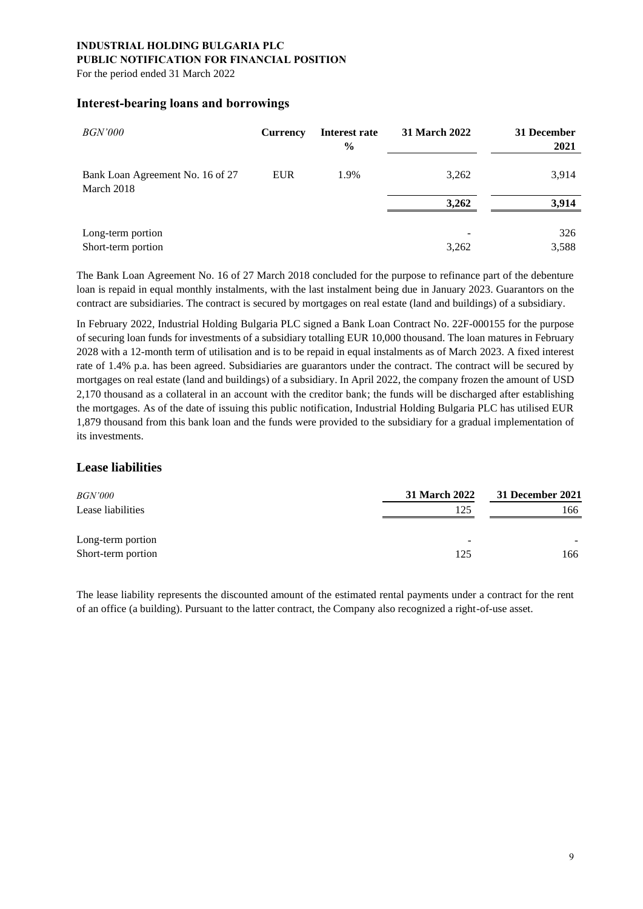For the period ended 31 March 2022

### **Interest-bearing loans and borrowings**

| <i>BGN'000</i>                                 | <b>Currency</b> | Interest rate<br>$\frac{0}{0}$ | 31 March 2022 | 31 December<br>2021 |
|------------------------------------------------|-----------------|--------------------------------|---------------|---------------------|
| Bank Loan Agreement No. 16 of 27<br>March 2018 | <b>EUR</b>      | 1.9%                           | 3,262         | 3,914               |
|                                                |                 |                                | 3.262         | 3.914               |
| Long-term portion                              |                 |                                |               | 326                 |
| Short-term portion                             |                 |                                | 3,262         | 3,588               |

The Bank Loan Agreement No. 16 of 27 March 2018 concluded for the purpose to refinance part of the debenture loan is repaid in equal monthly instalments, with the last instalment being due in January 2023. Guarantors on the contract are subsidiaries. The contract is secured by mortgages on real estate (land and buildings) of a subsidiary.

In February 2022, Industrial Holding Bulgaria PLC signed a Bank Loan Contract No. 22F-000155 for the purpose of securing loan funds for investments of a subsidiary totalling EUR 10,000 thousand. The loan matures in February 2028 with a 12-month term of utilisation and is to be repaid in equal instalments as of March 2023. A fixed interest rate of 1.4% p.a. has been agreed. Subsidiaries are guarantors under the contract. The contract will be secured by mortgages on real estate (land and buildings) of a subsidiary. In April 2022, the company frozen the amount of USD 2,170 thousand as a collateral in an account with the creditor bank; the funds will be discharged after establishing the mortgages. As of the date of issuing this public notification, Industrial Holding Bulgaria PLC has utilised EUR 1,879 thousand from this bank loan and the funds were provided to the subsidiary for a gradual implementation of its investments.

### **Lease liabilities**

| <i>BGN'000</i>     | <b>31 March 2022</b>     | 31 December 2021 |  |
|--------------------|--------------------------|------------------|--|
| Lease liabilities  | 125                      | 166              |  |
| Long-term portion  | $\overline{\phantom{a}}$ |                  |  |
| Short-term portion | 125                      | 166              |  |

The lease liability represents the discounted amount of the estimated rental payments under a contract for the rent of an office (a building). Pursuant to the latter contract, the Company also recognized a right-of-use asset.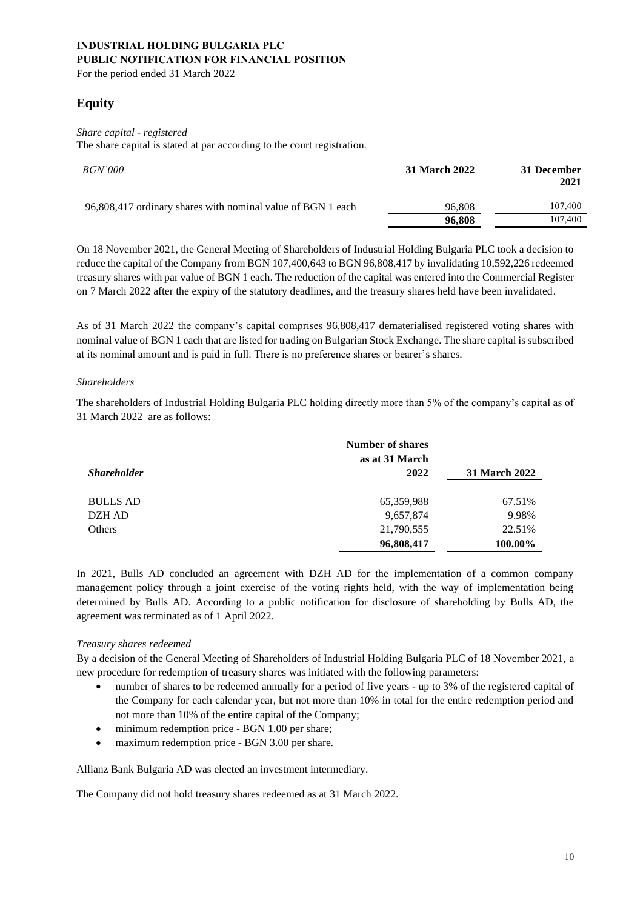For the period ended 31 March 2022

## **Equity**

### *Share capital - registered*

The share capital is stated at par according to the court registration.

| <i>BGN'000</i>                                              | 31 March 2022 | 31 December<br>2021 |
|-------------------------------------------------------------|---------------|---------------------|
| 96,808,417 ordinary shares with nominal value of BGN 1 each | 96.808        | 107,400             |
|                                                             | 96,808        | 107,400             |

On 18 November 2021, the General Meeting of Shareholders of Industrial Holding Bulgaria PLC took a decision to reduce the capital of the Company from BGN 107,400,643 to BGN 96,808,417 by invalidating 10,592,226 redeemed treasury shares with par value of BGN 1 each. The reduction of the capital was entered into the Commercial Register on 7 March 2022 after the expiry of the statutory deadlines, and the treasury shares held have been invalidated.

As of 31 March 2022 the company's capital comprises 96,808,417 dematerialised registered voting shares with nominal value of BGN 1 each that are listed for trading on Bulgarian Stock Exchange. The share capital is subscribed at its nominal amount and is paid in full. There is no preference shares or bearer's shares.

### *Shareholders*

The shareholders of Industrial Holding Bulgaria PLC holding directly more than 5% of the company's capital as of 31 March 2022 are as follows:

|                    | <b>Number of shares</b><br>as at 31 March |               |
|--------------------|-------------------------------------------|---------------|
| <b>Shareholder</b> | 2022                                      | 31 March 2022 |
| <b>BULLS AD</b>    | 65,359,988                                | 67.51%        |
| DZH AD             | 9,657,874                                 | 9.98%         |
| Others             | 21,790,555                                | 22.51%        |
|                    | 96,808,417                                | 100.00%       |

In 2021, Bulls AD concluded an agreement with DZH AD for the implementation of a common company management policy through a joint exercise of the voting rights held, with the way of implementation being determined by Bulls AD. According to a public notification for disclosure of shareholding by Bulls AD, the agreement was terminated as of 1 April 2022.

### *Treasury shares redeemed*

By a decision of the General Meeting of Shareholders of Industrial Holding Bulgaria PLC of 18 November 2021, a new procedure for redemption of treasury shares was initiated with the following parameters:

- number of shares to be redeemed annually for a period of five years up to 3% of the registered capital of the Company for each calendar year, but not more than 10% in total for the entire redemption period and not more than 10% of the entire capital of the Company;
- minimum redemption price BGN 1.00 per share;
- maximum redemption price BGN 3.00 per share.

Allianz Bank Bulgaria AD was elected an investment intermediary.

The Company did not hold treasury shares redeemed as at 31 March 2022.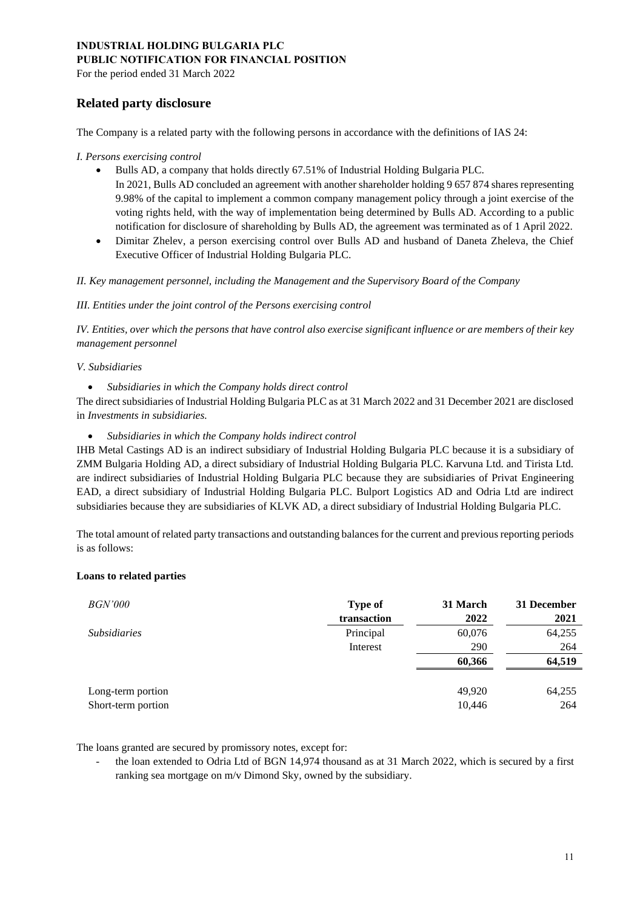For the period ended 31 March 2022

### **Related party disclosure**

The Company is a related party with the following persons in accordance with the definitions of IAS 24:

*I. Persons exercising control*

- Bulls AD, a company that holds directly 67.51% of Industrial Holding Bulgaria PLC. In 2021, Bulls AD concluded an agreement with another shareholder holding 9 657 874 shares representing 9.98% of the capital to implement a common company management policy through a joint exercise of the voting rights held, with the way of implementation being determined by Bulls AD. According to a public notification for disclosure of shareholding by Bulls AD, the agreement was terminated as of 1 April 2022.
- Dimitar Zhelev, a person exercising control over Bulls AD and husband of Daneta Zheleva, the Chief Executive Officer of Industrial Holding Bulgaria PLC.

*II. Key management personnel, including the Management and the Supervisory Board of the Company*

*III. Entities under the joint control of the Persons exercising control* 

*IV. Entities, over which the persons that have control also exercise significant influence or are members of their key management personnel*

#### *V. Subsidiaries*

• *Subsidiaries in which the Company holds direct control*

The direct subsidiaries of Industrial Holding Bulgaria PLC as at 31 March 2022 and 31 December 2021 are disclosed in *Investments in subsidiaries.*

• *Subsidiaries in which the Company holds indirect control*

IHB Metal Castings AD is an indirect subsidiary of Industrial Holding Bulgaria PLC because it is a subsidiary of ZMM Bulgaria Holding AD, a direct subsidiary of Industrial Holding Bulgaria PLC. Karvuna Ltd. and Tirista Ltd. are indirect subsidiaries of Industrial Holding Bulgaria PLC because they are subsidiaries of Privat Engineering EAD, a direct subsidiary of Industrial Holding Bulgaria PLC. Bulport Logistics AD and Odria Ltd are indirect subsidiaries because they are subsidiaries of KLVK AD, a direct subsidiary of Industrial Holding Bulgaria PLC.

The total amount of related party transactions and outstanding balances for the current and previous reporting periods is as follows:

### **Loans to related parties**

| <i>BGN'000</i>                          | <b>Type of</b><br>transaction | 31 March<br>2022 | 31 December<br>2021 |
|-----------------------------------------|-------------------------------|------------------|---------------------|
| <i>Subsidiaries</i>                     | Principal                     | 60,076           | 64,255              |
|                                         | Interest                      | 290              | 264                 |
|                                         |                               | 60,366           | 64,519              |
| Long-term portion<br>Short-term portion |                               | 49.920<br>10,446 | 64,255<br>264       |

The loans granted are secured by promissory notes, except for:

the loan extended to Odria Ltd of BGN 14,974 thousand as at 31 March 2022, which is secured by a first ranking sea mortgage on m/v Dimond Sky, owned by the subsidiary.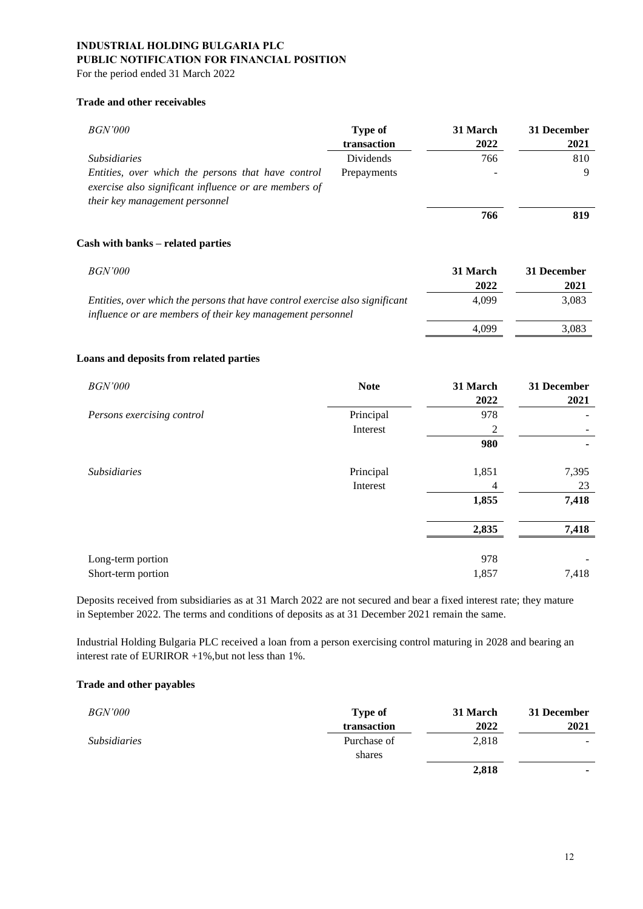For the period ended 31 March 2022

### **Trade and other receivables**

| <i>BGN'000</i>                                                                                                                                | Type of<br>transaction | 31 March<br>2022 | 31 December<br>2021 |
|-----------------------------------------------------------------------------------------------------------------------------------------------|------------------------|------------------|---------------------|
| <i>Subsidiaries</i>                                                                                                                           | <b>Dividends</b>       | 766              | 810                 |
| Entities, over which the persons that have control<br>exercise also significant influence or are members of<br>their key management personnel | Prepayments            |                  | 9                   |
|                                                                                                                                               |                        | 766              | 819                 |
| Cash with banks - related parties                                                                                                             |                        |                  |                     |
| <i>BGN'000</i>                                                                                                                                |                        | 31 March         | 31 December         |
|                                                                                                                                               |                        | 2022             | 2021                |
| Entities, over which the persons that have control exercise also significant<br>influence or are members of their key management personnel    |                        | 4,099            | 3,083               |
|                                                                                                                                               |                        | 4.099            | 3,083               |

#### **Loans and deposits from related parties**

| <b>BGN'000</b>             | <b>Note</b> | 31 March<br>2022 | 31 December<br>2021 |
|----------------------------|-------------|------------------|---------------------|
| Persons exercising control | Principal   | 978              |                     |
|                            | Interest    | 2                |                     |
|                            |             | 980              |                     |
| <b>Subsidiaries</b>        | Principal   | 1,851            | 7,395               |
|                            | Interest    | 4                | 23                  |
|                            |             | 1,855            | 7,418               |
|                            |             | 2,835            | 7,418               |
| Long-term portion          |             | 978              |                     |
| Short-term portion         |             | 1,857            | 7,418               |

Deposits received from subsidiaries as at 31 March 2022 are not secured and bear a fixed interest rate; they mature in September 2022. The terms and conditions of deposits as at 31 December 2021 remain the same.

Industrial Holding Bulgaria PLC received a loan from a person exercising control maturing in 2028 and bearing an interest rate of EURIROR +1%,but not less than 1%.

#### **Trade and other payables**

| <i>BGN'000</i>      | <b>Type of</b> | 31 March | 31 December |
|---------------------|----------------|----------|-------------|
|                     | transaction    | 2022     | 2021        |
| <i>Subsidiaries</i> | Purchase of    | 2,818    | -           |
|                     | shares         |          |             |
|                     |                | 2,818    |             |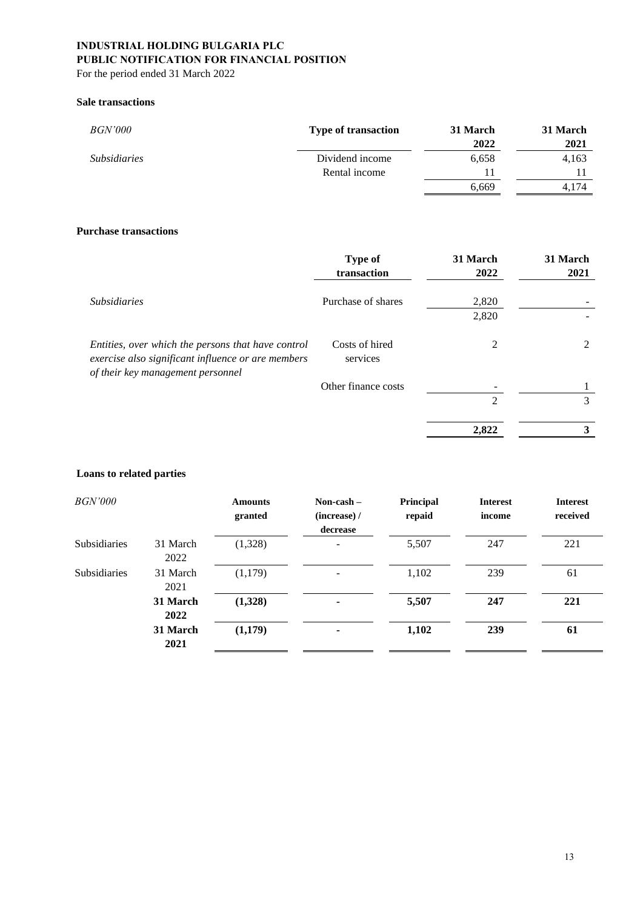For the period ended 31 March 2022

#### **Sale transactions**

| <i>BGN'000</i>      | <b>Type of transaction</b> | 31 March<br>2022 | 31 March<br>2021 |
|---------------------|----------------------------|------------------|------------------|
| <i>Subsidiaries</i> | Dividend income            | 6,658            | 4,163            |
|                     | Rental income              | 11               |                  |
|                     |                            | 6,669            | 4.174            |

### **Purchase transactions**

| <b>Type of</b><br>transaction | 31 March<br>2022 | 31 March<br>2021 |
|-------------------------------|------------------|------------------|
| Purchase of shares            | 2,820            |                  |
|                               | 2,820            |                  |
| Costs of hired<br>services    | 2                | 2                |
| Other finance costs           |                  |                  |
|                               | 2                | 3                |
|                               | 2,822            | 3                |
|                               |                  |                  |

### **Loans to related parties**

| <i>BGN'000</i>      |                  | <b>Amounts</b><br>granted | Non-cash $-$<br>(increase) /<br>decrease | Principal<br>repaid | <b>Interest</b><br>income | <b>Interest</b><br>received |
|---------------------|------------------|---------------------------|------------------------------------------|---------------------|---------------------------|-----------------------------|
| <b>Subsidiaries</b> | 31 March<br>2022 | (1,328)                   |                                          | 5,507               | 247                       | 221                         |
| <b>Subsidiaries</b> | 31 March<br>2021 | (1,179)                   | -                                        | 1,102               | 239                       | 61                          |
|                     | 31 March<br>2022 | (1,328)                   | ۰.                                       | 5,507               | 247                       | 221                         |
|                     | 31 March<br>2021 | (1,179)                   | ۰                                        | 1,102               | 239                       | 61                          |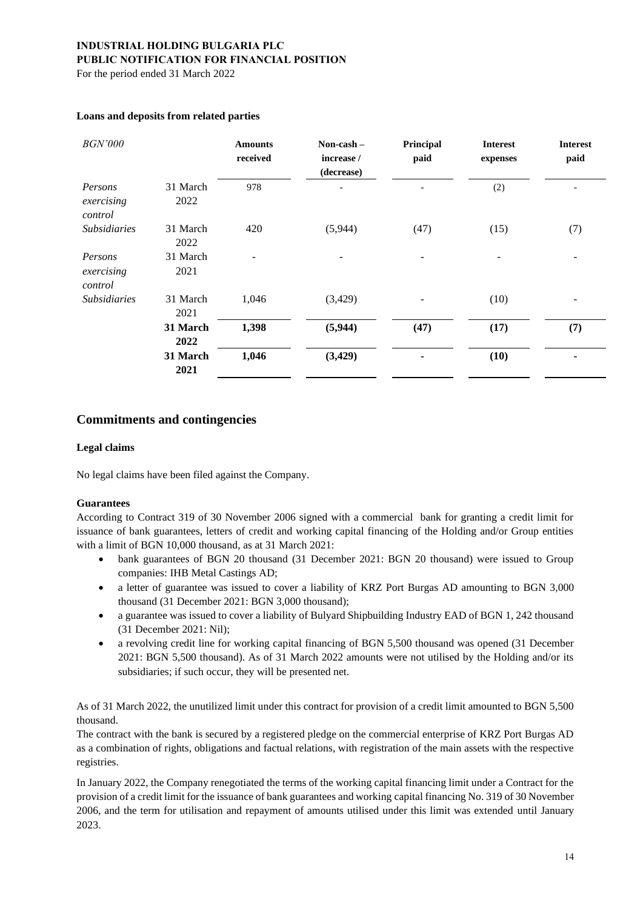For the period ended 31 March 2022

| <b>BGN'000</b>                   |                  | <b>Amounts</b><br>received | Non-cash –<br>increase /<br>(decrease) | Principal<br>paid | <b>Interest</b><br>expenses | <b>Interest</b><br>paid  |
|----------------------------------|------------------|----------------------------|----------------------------------------|-------------------|-----------------------------|--------------------------|
| Persons<br>exercising<br>control | 31 March<br>2022 | 978                        |                                        |                   | (2)                         |                          |
| <i>Subsidiaries</i>              | 31 March<br>2022 | 420                        | (5,944)                                | (47)              | (15)                        | (7)                      |
| Persons<br>exercising<br>control | 31 March<br>2021 |                            |                                        |                   |                             | $\overline{\phantom{a}}$ |
| <i>Subsidiaries</i>              | 31 March<br>2021 | 1,046                      | (3,429)                                |                   | (10)                        |                          |
|                                  | 31 March<br>2022 | 1,398                      | (5,944)                                | (47)              | (17)                        | (7)                      |
|                                  | 31 March<br>2021 | 1,046                      | (3, 429)                               |                   | (10)                        |                          |

#### **Loans and deposits from related parties**

### **Commitments and contingencies**

#### **Legal claims**

No legal claims have been filed against the Company.

#### **Guarantees**

According to Contract 319 of 30 November 2006 signed with a commercial bank for granting a credit limit for issuance of bank guarantees, letters of credit and working capital financing of the Holding and/or Group entities with a limit of BGN 10,000 thousand, as at 31 March 2021:

- bank guarantees of BGN 20 thousand (31 December 2021: BGN 20 thousand) were issued to Group companies: IHB Metal Castings AD;
- a letter of guarantee was issued to cover a liability of KRZ Port Burgas AD amounting to BGN 3,000 thousand (31 December 2021: BGN 3,000 thousand);
- a guarantee was issued to cover a liability of Bulyard Shipbuilding Industry EAD of BGN 1, 242 thousand (31 December 2021: Nil);
- a revolving credit line for working capital financing of BGN 5,500 thousand was opened (31 December 2021: BGN 5,500 thousand). As of 31 March 2022 amounts were not utilised by the Holding and/or its subsidiaries; if such occur, they will be presented net.

As of 31 March 2022, the unutilized limit under this contract for provision of a credit limit amounted to BGN 5,500 thousand.

The contract with the bank is secured by a registered pledge on the commercial enterprise of KRZ Port Burgas AD as a combination of rights, obligations and factual relations, with registration of the main assets with the respective registries.

In January 2022, the Company renegotiated the terms of the working capital financing limit under a Contract for the provision of a credit limit for the issuance of bank guarantees and working capital financing No. 319 of 30 November 2006, and the term for utilisation and repayment of amounts utilised under this limit was extended until January 2023.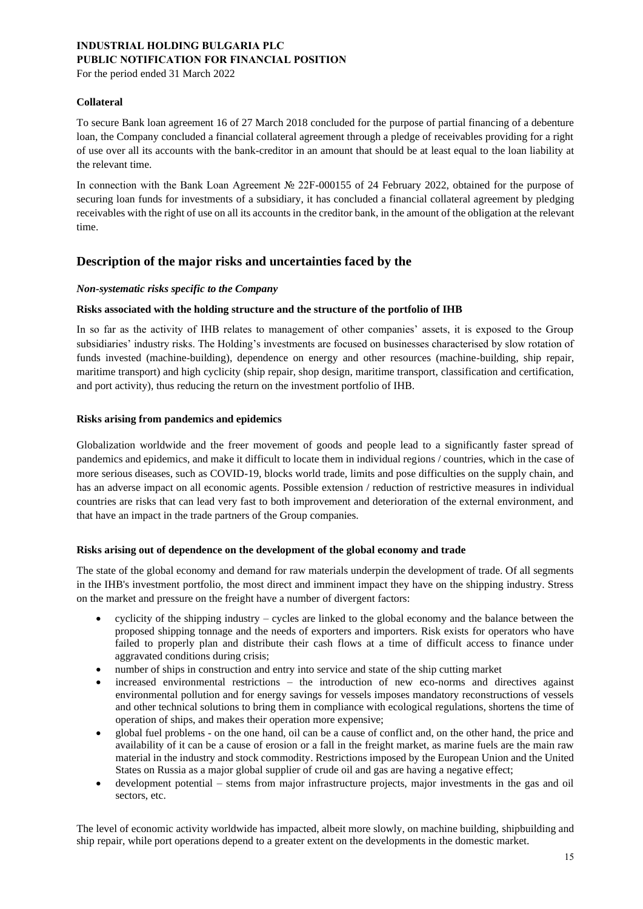For the period ended 31 March 2022

#### **Collateral**

To secure Bank loan agreement 16 of 27 March 2018 concluded for the purpose of partial financing of a debenture loan, the Company concluded a financial collateral agreement through a pledge of receivables providing for a right of use over all its accounts with the bank-creditor in an amount that should be at least equal to the loan liability at the relevant time.

In connection with the Bank Loan Agreement № 22F-000155 of 24 February 2022, obtained for the purpose of securing loan funds for investments of a subsidiary, it has concluded a financial collateral agreement by pledging receivables with the right of use on all its accounts in the creditor bank, in the amount of the obligation at the relevant time.

### **Description of the major risks and uncertainties faced by the**

#### *Non-systematic risks specific to the Company*

#### **Risks associated with the holding structure and the structure of the portfolio of IHB**

In so far as the activity of IHB relates to management of other companies' assets, it is exposed to the Group subsidiaries' industry risks. The Holding's investments are focused on businesses characterised by slow rotation of funds invested (machine-building), dependence on energy and other resources (machine-building, ship repair, maritime transport) and high cyclicity (ship repair, shop design, maritime transport, classification and certification, and port activity), thus reducing the return on the investment portfolio of IHB.

#### **Risks arising from pandemics and epidemics**

Globalization worldwide and the freer movement of goods and people lead to a significantly faster spread of pandemics and epidemics, and make it difficult to locate them in individual regions / countries, which in the case of more serious diseases, such as COVID-19, blocks world trade, limits and pose difficulties on the supply chain, and has an adverse impact on all economic agents. Possible extension / reduction of restrictive measures in individual countries are risks that can lead very fast to both improvement and deterioration of the external environment, and that have an impact in the trade partners of the Group companies.

#### **Risks arising out of dependence on the development of the global economy and trade**

The state of the global economy and demand for raw materials underpin the development of trade. Of all segments in the IHB's investment portfolio, the most direct and imminent impact they have on the shipping industry. Stress on the market and pressure on the freight have a number of divergent factors:

- cyclicity of the shipping industry cycles are linked to the global economy and the balance between the proposed shipping tonnage and the needs of exporters and importers. Risk exists for operators who have failed to properly plan and distribute their cash flows at a time of difficult access to finance under aggravated conditions during crisis;
- number of ships in construction and entry into service and state of the ship cutting market
- increased environmental restrictions the introduction of new eco-norms and directives against environmental pollution and for energy savings for vessels imposes mandatory reconstructions of vessels and other technical solutions to bring them in compliance with ecological regulations, shortens the time of operation of ships, and makes their operation more expensive;
- global fuel problems on the one hand, oil can be a cause of conflict and, on the other hand, the price and availability of it can be a cause of erosion or a fall in the freight market, as marine fuels are the main raw material in the industry and stock commodity. Restrictions imposed by the European Union and the United States on Russia as a major global supplier of crude oil and gas are having a negative effect;
- development potential stems from major infrastructure projects, major investments in the gas and oil sectors, etc.

The level of economic activity worldwide has impacted, albeit more slowly, on machine building, shipbuilding and ship repair, while port operations depend to a greater extent on the developments in the domestic market.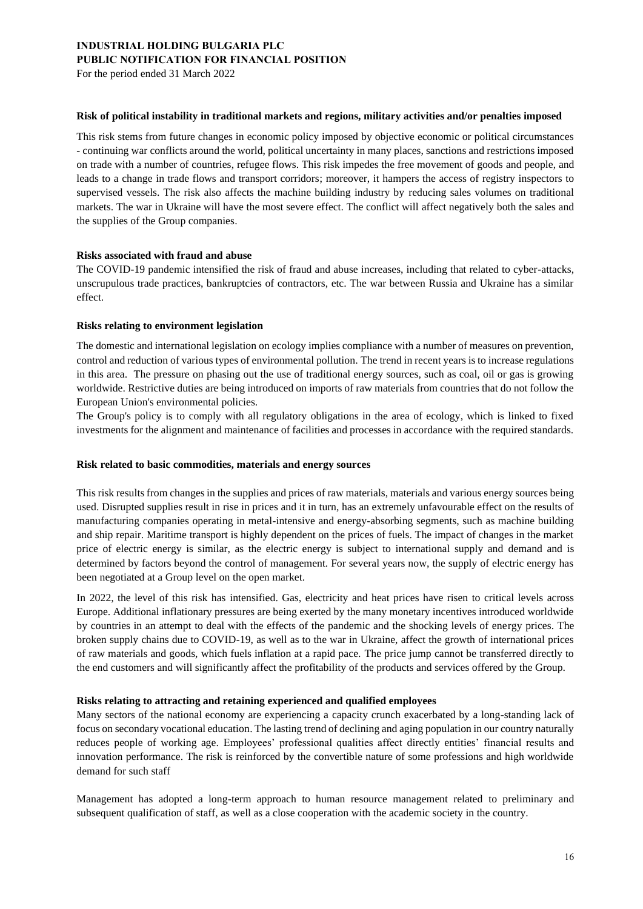For the period ended 31 March 2022

#### **Risk of political instability in traditional markets and regions, military activities and/or penalties imposed**

This risk stems from future changes in economic policy imposed by objective economic or political circumstances - continuing war conflicts around the world, political uncertainty in many places, sanctions and restrictions imposed on trade with a number of countries, refugee flows. This risk impedes the free movement of goods and people, and leads to a change in trade flows and transport corridors; moreover, it hampers the access of registry inspectors to supervised vessels. The risk also affects the machine building industry by reducing sales volumes on traditional markets. The war in Ukraine will have the most severe effect. The conflict will affect negatively both the sales and the supplies of the Group companies.

#### **Risks associated with fraud and abuse**

The COVID-19 pandemic intensified the risk of fraud and abuse increases, including that related to cyber-attacks, unscrupulous trade practices, bankruptcies of contractors, etc. The war between Russia and Ukraine has a similar effect.

#### **Risks relating to environment legislation**

The domestic and international legislation on ecology implies compliance with a number of measures on prevention, control and reduction of various types of environmental pollution. The trend in recent years is to increase regulations in this area. The pressure on phasing out the use of traditional energy sources, such as coal, oil or gas is growing worldwide. Restrictive duties are being introduced on imports of raw materials from countries that do not follow the European Union's environmental policies.

The Group's policy is to comply with all regulatory obligations in the area of ecology, which is linked to fixed investments for the alignment and maintenance of facilities and processes in accordance with the required standards.

#### **Risk related to basic commodities, materials and energy sources**

This risk results from changes in the supplies and prices of raw materials, materials and various energy sources being used. Disrupted supplies result in rise in prices and it in turn, has an extremely unfavourable effect on the results of manufacturing companies operating in metal-intensive and energy-absorbing segments, such as machine building and ship repair. Maritime transport is highly dependent on the prices of fuels. The impact of changes in the market price of electric energy is similar, as the electric energy is subject to international supply and demand and is determined by factors beyond the control of management. For several years now, the supply of electric energy has been negotiated at a Group level on the open market.

In 2022, the level of this risk has intensified. Gas, electricity and heat prices have risen to critical levels across Europe. Additional inflationary pressures are being exerted by the many monetary incentives introduced worldwide by countries in an attempt to deal with the effects of the pandemic and the shocking levels of energy prices. The broken supply chains due to COVID-19, as well as to the war in Ukraine, affect the growth of international prices of raw materials and goods, which fuels inflation at a rapid pace. The price jump cannot be transferred directly to the end customers and will significantly affect the profitability of the products and services offered by the Group.

#### **Risks relating to attracting and retaining experienced and qualified employees**

Many sectors of the national economy are experiencing a capacity crunch exacerbated by a long-standing lack of focus on secondary vocational education. The lasting trend of declining and aging population in our country naturally reduces people of working age. Employees' professional qualities affect directly entities' financial results and innovation performance. The risk is reinforced by the convertible nature of some professions and high worldwide demand for such staff

Management has adopted a long-term approach to human resource management related to preliminary and subsequent qualification of staff, as well as a close cooperation with the academic society in the country.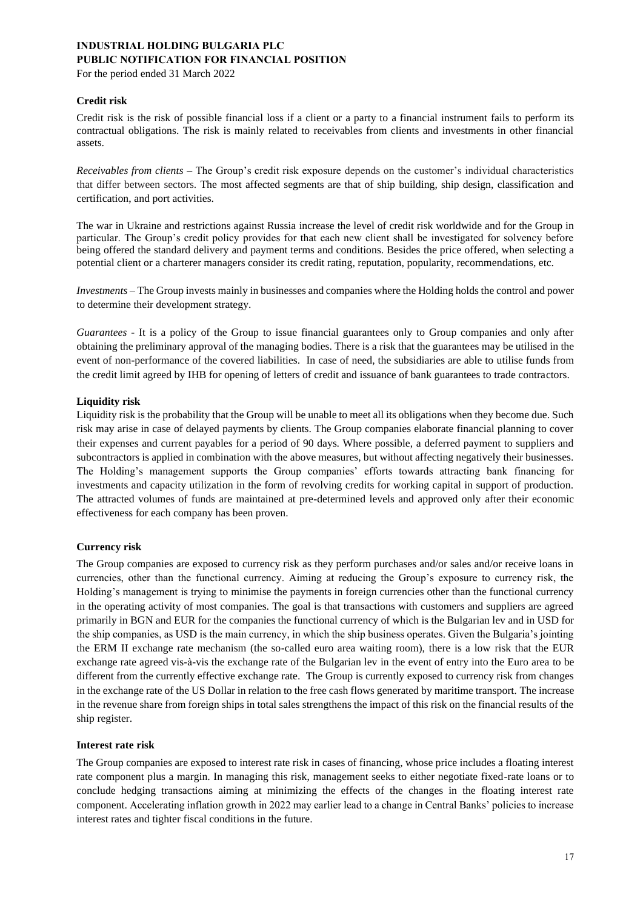For the period ended 31 March 2022

#### **Credit risk**

Credit risk is the risk of possible financial loss if a client or a party to a financial instrument fails to perform its contractual obligations. The risk is mainly related to receivables from clients and investments in other financial assets.

*Receivables from clients –* The Group's credit risk exposure depends on the customer's individual characteristics that differ between sectors. The most affected segments are that of ship building, ship design, classification and certification, and port activities.

The war in Ukraine and restrictions against Russia increase the level of credit risk worldwide and for the Group in particular. The Group's credit policy provides for that each new client shall be investigated for solvency before being offered the standard delivery and payment terms and conditions. Besides the price offered, when selecting a potential client or a charterer managers consider its credit rating, reputation, popularity, recommendations, etc.

*Investments –* The Group invests mainly in businesses and companies where the Holding holds the control and power to determine their development strategy.

*Guarantees* - It is a policy of the Group to issue financial guarantees only to Group companies and only after obtaining the preliminary approval of the managing bodies. There is a risk that the guarantees may be utilised in the event of non-performance of the covered liabilities. In case of need, the subsidiaries are able to utilise funds from the credit limit agreed by IHB for opening of letters of credit and issuance of bank guarantees to trade contractors.

#### **Liquidity risk**

Liquidity risk is the probability that the Group will be unable to meet all its obligations when they become due. Such risk may arise in case of delayed payments by clients. The Group companies elaborate financial planning to cover their expenses and current payables for a period of 90 days. Where possible, a deferred payment to suppliers and subcontractors is applied in combination with the above measures, but without affecting negatively their businesses. The Holding's management supports the Group companies' efforts towards attracting bank financing for investments and capacity utilization in the form of revolving credits for working capital in support of production. The attracted volumes of funds are maintained at pre-determined levels and approved only after their economic effectiveness for each company has been proven.

### **Currency risk**

The Group companies are exposed to currency risk as they perform purchases and/or sales and/or receive loans in currencies, other than the functional currency. Aiming at reducing the Group's exposure to currency risk, the Holding's management is trying to minimise the payments in foreign currencies other than the functional currency in the operating activity of most companies. The goal is that transactions with customers and suppliers are agreed primarily in BGN and EUR for the companies the functional currency of which is the Bulgarian lev and in USD for the ship companies, as USD is the main currency, in which the ship business operates. Given the Bulgaria's jointing the ERM II exchange rate mechanism (the so-called euro area waiting room), there is a low risk that the EUR exchange rate agreed vis-à-vis the exchange rate of the Bulgarian lev in the event of entry into the Euro area to be different from the currently effective exchange rate. The Group is currently exposed to currency risk from changes in the exchange rate of the US Dollar in relation to the free cash flows generated by maritime transport. The increase in the revenue share from foreign ships in total sales strengthens the impact of this risk on the financial results of the ship register.

#### **Interest rate risk**

The Group companies are exposed to interest rate risk in cases of financing, whose price includes a floating interest rate component plus a margin. In managing this risk, management seeks to either negotiate fixed-rate loans or to conclude hedging transactions aiming at minimizing the effects of the changes in the floating interest rate component. Accelerating inflation growth in 2022 may earlier lead to a change in Central Banks' policies to increase interest rates and tighter fiscal conditions in the future.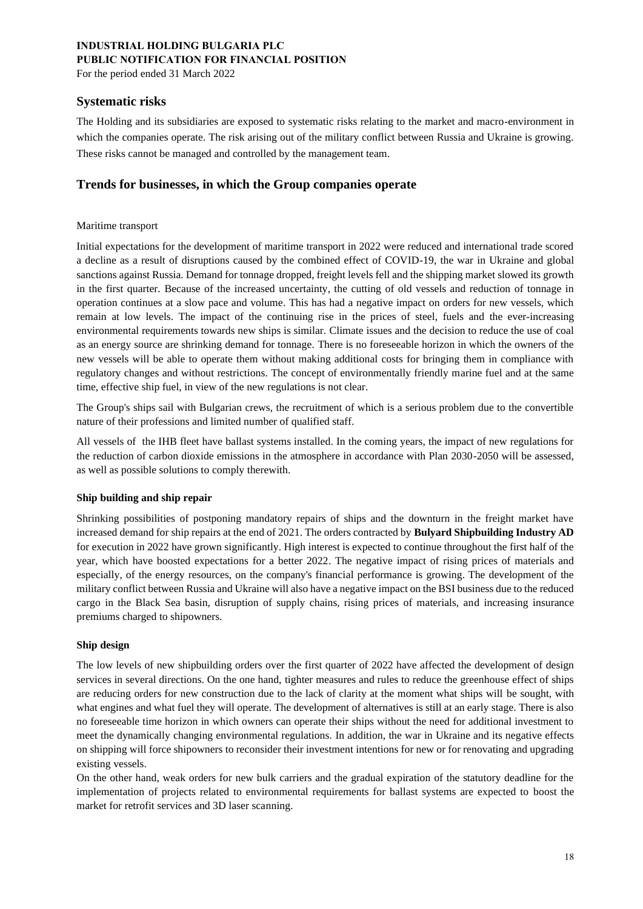For the period ended 31 March 2022

### **Systematic risks**

The Holding and its subsidiaries are exposed to systematic risks relating to the market and macro-environment in which the companies operate. The risk arising out of the military conflict between Russia and Ukraine is growing. These risks cannot be managed and controlled by the management team.

### **Trends for businesses, in which the Group companies operate**

#### Maritime transport

Initial expectations for the development of maritime transport in 2022 were reduced and international trade scored a decline as a result of disruptions caused by the combined effect of COVID-19, the war in Ukraine and global sanctions against Russia. Demand for tonnage dropped, freight levels fell and the shipping market slowed its growth in the first quarter. Because of the increased uncertainty, the cutting of old vessels and reduction of tonnage in operation continues at a slow pace and volume. This has had a negative impact on orders for new vessels, which remain at low levels. The impact of the continuing rise in the prices of steel, fuels and the ever-increasing environmental requirements towards new ships is similar. Climate issues and the decision to reduce the use of coal as an energy source are shrinking demand for tonnage. There is no foreseeable horizon in which the owners of the new vessels will be able to operate them without making additional costs for bringing them in compliance with regulatory changes and without restrictions. The concept of environmentally friendly marine fuel and at the same time, effective ship fuel, in view of the new regulations is not clear.

The Group's ships sail with Bulgarian crews, the recruitment of which is a serious problem due to the convertible nature of their professions and limited number of qualified staff.

All vessels of the IHB fleet have ballast systems installed. In the coming years, the impact of new regulations for the reduction of carbon dioxide emissions in the atmosphere in accordance with Plan 2030-2050 will be assessed, as well as possible solutions to comply therewith.

### **Ship building and ship repair**

Shrinking possibilities of postponing mandatory repairs of ships and the downturn in the freight market have increased demand for ship repairs at the end of 2021. The orders contracted by **Bulyard Shipbuilding Industry AD** for execution in 2022 have grown significantly. High interest is expected to continue throughout the first half of the year, which have boosted expectations for a better 2022. The negative impact of rising prices of materials and especially, of the energy resources, on the company's financial performance is growing. The development of the military conflict between Russia and Ukraine will also have a negative impact on the BSI business due to the reduced cargo in the Black Sea basin, disruption of supply chains, rising prices of materials, and increasing insurance premiums charged to shipowners.

### **Ship design**

The low levels of new shipbuilding orders over the first quarter of 2022 have affected the development of design services in several directions. On the one hand, tighter measures and rules to reduce the greenhouse effect of ships are reducing orders for new construction due to the lack of clarity at the moment what ships will be sought, with what engines and what fuel they will operate. The development of alternatives is still at an early stage. There is also no foreseeable time horizon in which owners can operate their ships without the need for additional investment to meet the dynamically changing environmental regulations. In addition, the war in Ukraine and its negative effects on shipping will force shipowners to reconsider their investment intentions for new or for renovating and upgrading existing vessels.

On the other hand, weak orders for new bulk carriers and the gradual expiration of the statutory deadline for the implementation of projects related to environmental requirements for ballast systems are expected to boost the market for retrofit services and 3D laser scanning.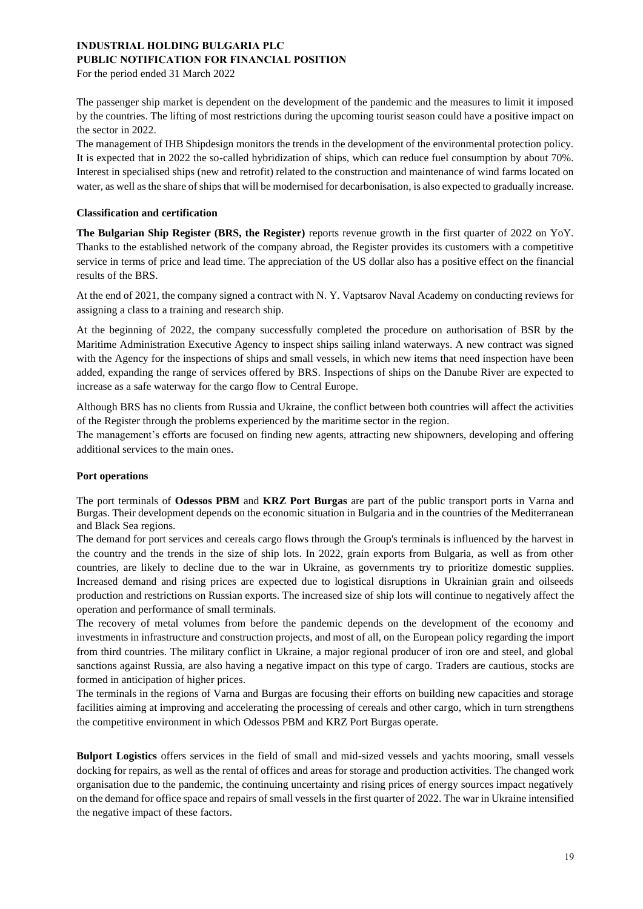For the period ended 31 March 2022

The passenger ship market is dependent on the development of the pandemic and the measures to limit it imposed by the countries. The lifting of most restrictions during the upcoming tourist season could have a positive impact on the sector in 2022.

The management of IHB Shipdesign monitors the trends in the development of the environmental protection policy. It is expected that in 2022 the so-called hybridization of ships, which can reduce fuel consumption by about 70%. Interest in specialised ships (new and retrofit) related to the construction and maintenance of wind farms located on water, as well as the share of ships that will be modernised for decarbonisation, is also expected to gradually increase.

#### **Classification and certification**

**The Bulgarian Ship Register (BRS, the Register)** reports revenue growth in the first quarter of 2022 on YoY. Thanks to the established network of the company abroad, the Register provides its customers with a competitive service in terms of price and lead time. The appreciation of the US dollar also has a positive effect on the financial results of the BRS.

At the end of 2021, the company signed a contract with N. Y. Vaptsarov Naval Academy on conducting reviews for assigning a class to a training and research ship.

At the beginning of 2022, the company successfully completed the procedure on authorisation of BSR by the Maritime Administration Executive Agency to inspect ships sailing inland waterways. A new contract was signed with the Agency for the inspections of ships and small vessels, in which new items that need inspection have been added, expanding the range of services offered by BRS. Inspections of ships on the Danube River are expected to increase as a safe waterway for the cargo flow to Central Europe.

Although BRS has no clients from Russia and Ukraine, the conflict between both countries will affect the activities of the Register through the problems experienced by the maritime sector in the region.

The management's efforts are focused on finding new agents, attracting new shipowners, developing and offering additional services to the main ones.

#### **Port operations**

The port terminals of **Odessos PBM** and **KRZ Port Burgas** are part of the public transport ports in Varna and Burgas. Their development depends on the economic situation in Bulgaria and in the countries of the Mediterranean and Black Sea regions.

The demand for port services and cereals cargo flows through the Group's terminals is influenced by the harvest in the country and the trends in the size of ship lots. In 2022, grain exports from Bulgaria, as well as from other countries, are likely to decline due to the war in Ukraine, as governments try to prioritize domestic supplies. Increased demand and rising prices are expected due to logistical disruptions in Ukrainian grain and oilseeds production and restrictions on Russian exports. The increased size of ship lots will continue to negatively affect the operation and performance of small terminals.

The recovery of metal volumes from before the pandemic depends on the development of the economy and investments in infrastructure and construction projects, and most of all, on the European policy regarding the import from third countries. The military conflict in Ukraine, a major regional producer of iron ore and steel, and global sanctions against Russia, are also having a negative impact on this type of cargo. Traders are cautious, stocks are formed in anticipation of higher prices.

The terminals in the regions of Varna and Burgas are focusing their efforts on building new capacities and storage facilities aiming at improving and accelerating the processing of cereals and other cargo, which in turn strengthens the competitive environment in which Odessos PBM and KRZ Port Burgas operate.

**Bulport Logistics** offers services in the field of small and mid-sized vessels and yachts mooring, small vessels docking for repairs, as well as the rental of offices and areas for storage and production activities. The changed work organisation due to the pandemic, the continuing uncertainty and rising prices of energy sources impact negatively on the demand for office space and repairs of small vessels in the first quarter of 2022. The war in Ukraine intensified the negative impact of these factors.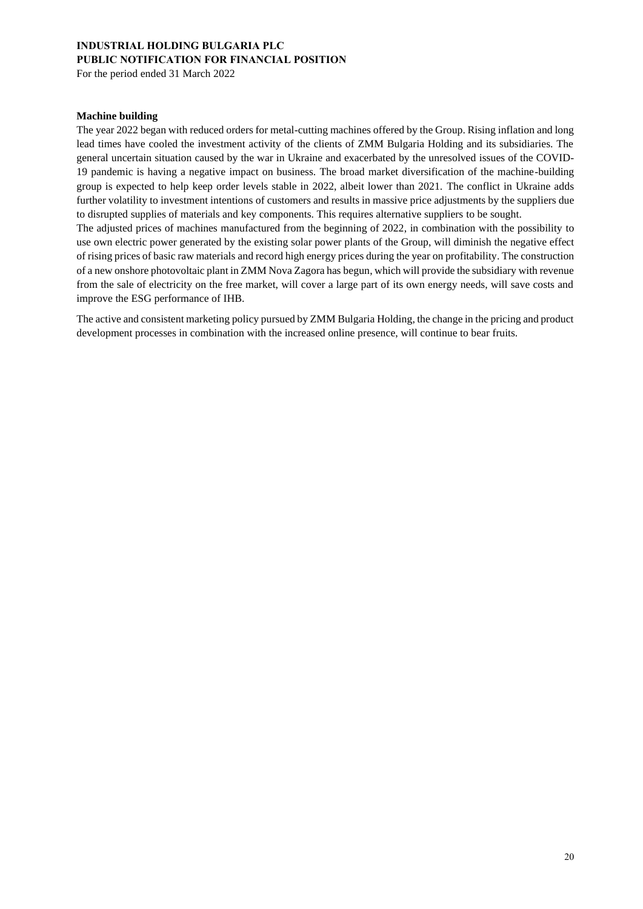For the period ended 31 March 2022

#### **Machine building**

The year 2022 began with reduced orders for metal-cutting machines offered by the Group. Rising inflation and long lead times have cooled the investment activity of the clients of ZMM Bulgaria Holding and its subsidiaries. The general uncertain situation caused by the war in Ukraine and exacerbated by the unresolved issues of the COVID-19 pandemic is having a negative impact on business. The broad market diversification of the machine-building group is expected to help keep order levels stable in 2022, albeit lower than 2021. The conflict in Ukraine adds further volatility to investment intentions of customers and results in massive price adjustments by the suppliers due to disrupted supplies of materials and key components. This requires alternative suppliers to be sought.

The adjusted prices of machines manufactured from the beginning of 2022, in combination with the possibility to use own electric power generated by the existing solar power plants of the Group, will diminish the negative effect of rising prices of basic raw materials and record high energy prices during the year on profitability. The construction of a new onshore photovoltaic plant in ZMM Nova Zagora has begun, which will provide the subsidiary with revenue from the sale of electricity on the free market, will cover a large part of its own energy needs, will save costs and improve the ESG performance of IHB.

The active and consistent marketing policy pursued by ZMM Bulgaria Holding, the change in the pricing and product development processes in combination with the increased online presence, will continue to bear fruits.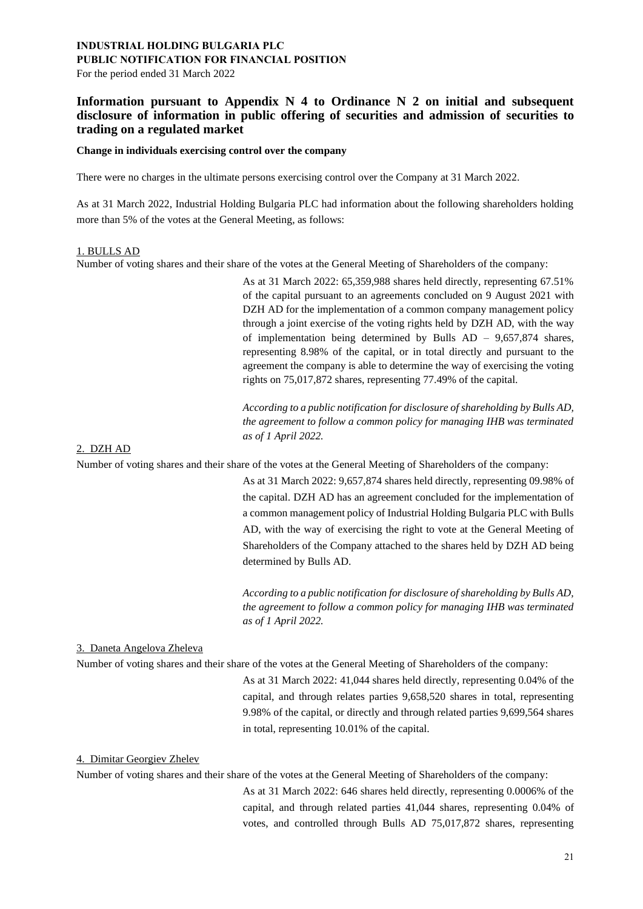For the period ended 31 March 2022

### **Information pursuant to Appendix N 4 to Ordinance N 2 on initial and subsequent disclosure of information in public offering of securities and admission of securities to trading on a regulated market**

#### **Change in individuals exercising control over the company**

There were no charges in the ultimate persons exercising control over the Company at 31 March 2022.

As at 31 March 2022, Industrial Holding Bulgaria PLC had information about the following shareholders holding more than 5% of the votes at the General Meeting, as follows:

#### 1. BULLS AD

Number of voting shares and their share of the votes at the General Meeting of Shareholders of the company:

As at 31 March 2022: 65,359,988 shares held directly, representing 67.51% of the capital pursuant to an agreements concluded on 9 August 2021 with DZH AD for the implementation of a common company management policy through a joint exercise of the voting rights held by DZH AD, with the way of implementation being determined by Bulls AD – 9,657,874 shares, representing 8.98% of the capital, or in total directly and pursuant to the agreement the company is able to determine the way of exercising the voting rights on 75,017,872 shares, representing 77.49% of the capital.

*According to a public notification for disclosure of shareholding by Bulls AD, the agreement to follow a common policy for managing IHB was terminated as of 1 April 2022.*

#### 2. DZH AD

Number of voting shares and their share of the votes at the General Meeting of Shareholders of the company:

As at 31 March 2022: 9,657,874 shares held directly, representing 09.98% of the capital. DZH AD has an agreement concluded for the implementation of a common management policy of Industrial Holding Bulgaria PLC with Bulls AD, with the way of exercising the right to vote at the General Meeting of Shareholders of the Company attached to the shares held by DZH AD being determined by Bulls AD.

*According to a public notification for disclosure of shareholding by Bulls AD, the agreement to follow a common policy for managing IHB was terminated as of 1 April 2022.*

#### 3. Daneta Angelova Zheleva

Number of voting shares and their share of the votes at the General Meeting of Shareholders of the company:

As at 31 March 2022: 41,044 shares held directly, representing 0.04% of the capital, and through relates parties 9,658,520 shares in total, representing 9.98% of the capital, or directly and through related parties 9,699,564 shares in total, representing 10.01% of the capital.

#### 4. Dimitar Georgiev Zhelev

Number of voting shares and their share of the votes at the General Meeting of Shareholders of the company:

As at 31 March 2022: 646 shares held directly, representing 0.0006% of the capital, and through related parties 41,044 shares, representing 0.04% of votes, and controlled through Bulls AD 75,017,872 shares, representing